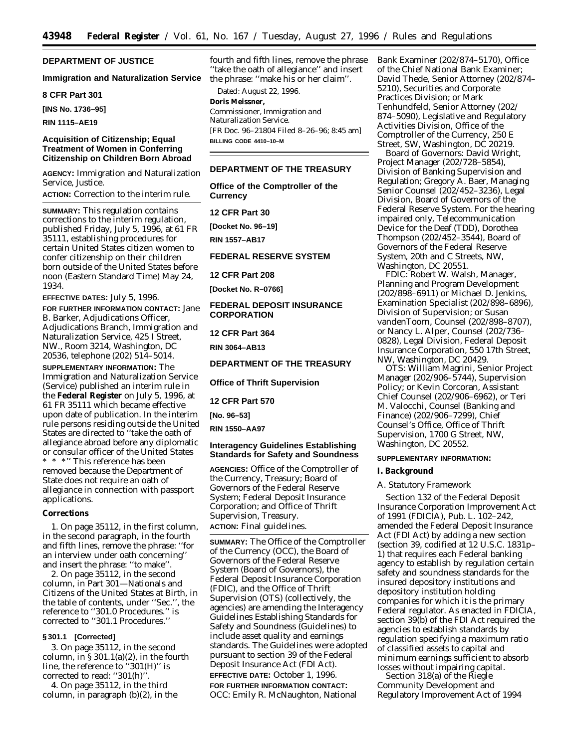# **DEPARTMENT OF JUSTICE**

### **Immigration and Naturalization Service**

**8 CFR Part 301**

**[INS No. 1736–95]**

**RIN 1115–AE19**

# **Acquisition of Citizenship; Equal Treatment of Women in Conferring Citizenship on Children Born Abroad**

**AGENCY:** Immigration and Naturalization Service, Justice.

**ACTION:** Correction to the interim rule.

**SUMMARY:** This regulation contains corrections to the interim regulation, published Friday, July 5, 1996, at 61 FR 35111, establishing procedures for certain United States citizen women to confer citizenship on their children born outside of the United States before noon (Eastern Standard Time) May 24, 1934.

**EFFECTIVE DATES:** July 5, 1996.

**FOR FURTHER INFORMATION CONTACT:** Jane B. Barker, Adjudications Officer, Adjudications Branch, Immigration and Naturalization Service, 425 I Street, NW., Room 3214, Washington, DC 20536, telephone (202) 514–5014.

**SUPPLEMENTARY INFORMATION:** The Immigration and Naturalization Service (Service) published an interim rule in the **Federal Register** on July 5, 1996, at 61 FR 35111 which became effective upon date of publication. In the interim rule persons residing outside the United States are directed to ''take the oath of allegiance abroad before any diplomatic or consular officer of the United States \* \* \*'' This reference has been removed because the Department of State does not require an oath of allegiance in connection with passport applications.

#### **Corrections**

1. On page 35112, in the first column, in the second paragraph, in the fourth and fifth lines, remove the phrase: ''for an interview under oath concerning'' and insert the phrase: ''to make''.

2. On page 35112, in the second column, in Part 301—Nationals and Citizens of the United States at Birth, in the table of contents, under ''Sec.'', the reference to ''301.0 Procedures.'' is corrected to ''301.1 Procedures.''

#### **§ 301.1 [Corrected]**

3. On page 35112, in the second column, in  $\S 301.1(a)(2)$ , in the fourth line, the reference to ''301(H)'' is corrected to read: "301(h)"

4. On page 35112, in the third column, in paragraph (b)(2), in the

fourth and fifth lines, remove the phrase ''take the oath of allegiance'' and insert the phrase: ''make his or her claim''.

Dated: August 22, 1996. **Doris Meissner,** *Commissioner, Immigration and Naturalization Service.* [FR Doc. 96–21804 Filed 8–26–96; 8:45 am] **BILLING CODE 4410–10–M**

#### **DEPARTMENT OF THE TREASURY**

**Office of the Comptroller of the Currency**

## **12 CFR Part 30**

**[Docket No. 96–19]**

**RIN 1557–AB17**

## **FEDERAL RESERVE SYSTEM**

**12 CFR Part 208**

**[Docket No. R–0766]**

## **FEDERAL DEPOSIT INSURANCE CORPORATION**

**12 CFR Part 364**

**RIN 3064–AB13**

# **DEPARTMENT OF THE TREASURY**

## **Office of Thrift Supervision**

**12 CFR Part 570**

**[No. 96–53]**

## **RIN 1550–AA97**

## **Interagency Guidelines Establishing Standards for Safety and Soundness**

**AGENCIES:** Office of the Comptroller of the Currency, Treasury; Board of Governors of the Federal Reserve System; Federal Deposit Insurance Corporation; and Office of Thrift Supervision, Treasury. **ACTION:** Final guidelines.

**SUMMARY:** The Office of the Comptroller of the Currency (OCC), the Board of Governors of the Federal Reserve System (Board of Governors), the Federal Deposit Insurance Corporation (FDIC), and the Office of Thrift Supervision (OTS) (collectively, the agencies) are amending the Interagency Guidelines Establishing Standards for Safety and Soundness (Guidelines) to include asset quality and earnings standards. The Guidelines were adopted pursuant to section 39 of the Federal Deposit Insurance Act (FDI Act).

# **EFFECTIVE DATE:** October 1, 1996.

**FOR FURTHER INFORMATION CONTACT:** *OCC:* Emily R. McNaughton, National Bank Examiner (202/874–5170), Office of the Chief National Bank Examiner; David Thede, Senior Attorney (202/874– 5210), Securities and Corporate Practices Division; or Mark Tenhundfeld, Senior Attorney (202/ 874–5090), Legislative and Regulatory Activities Division, Office of the Comptroller of the Currency, 250 E Street, SW, Washington, DC 20219.

*Board of Governors:* David Wright, Project Manager (202/728–5854), Division of Banking Supervision and Regulation; Gregory A. Baer, Managing Senior Counsel (202/452–3236), Legal Division, Board of Governors of the Federal Reserve System. For the hearing impaired *only,* Telecommunication Device for the Deaf (TDD), Dorothea Thompson (202/452–3544), Board of Governors of the Federal Reserve System, 20th and C Streets, NW, Washington, DC 20551.

*FDIC:* Robert W. Walsh, Manager, Planning and Program Development (202/898–6911) or Michael D. Jenkins, Examination Specialist (202/898–6896), Division of Supervision; or Susan vandenToorn, Counsel (202/898–8707), or Nancy L. Alper, Counsel (202/736– 0828), Legal Division, Federal Deposit Insurance Corporation, 550 17th Street, NW, Washington, DC 20429.

*OTS:* William Magrini, Senior Project Manager (202/906–5744), Supervision Policy; or Kevin Corcoran, Assistant Chief Counsel (202/906–6962), or Teri M. Valocchi, Counsel (Banking and Finance) (202/906–7299), Chief Counsel's Office, Office of Thrift Supervision, 1700 G Street, NW, Washington, DC 20552.

#### **SUPPLEMENTARY INFORMATION:**

#### **I. Background**

### *A. Statutory Framework*

Section 132 of the Federal Deposit Insurance Corporation Improvement Act of 1991 (FDICIA), Pub. L. 102–242, amended the Federal Deposit Insurance Act (FDI Act) by adding a new section (section 39, codified at 12 U.S.C. 1831p– 1) that requires each Federal banking agency to establish by regulation certain safety and soundness standards for the insured depository institutions and depository institution holding companies for which it is the primary Federal regulator. As enacted in FDICIA, section 39(b) of the FDI Act required the agencies to establish standards by regulation specifying a maximum ratio of classified assets to capital and minimum earnings sufficient to absorb losses without impairing capital.

Section 318(a) of the Riegle Community Development and Regulatory Improvement Act of 1994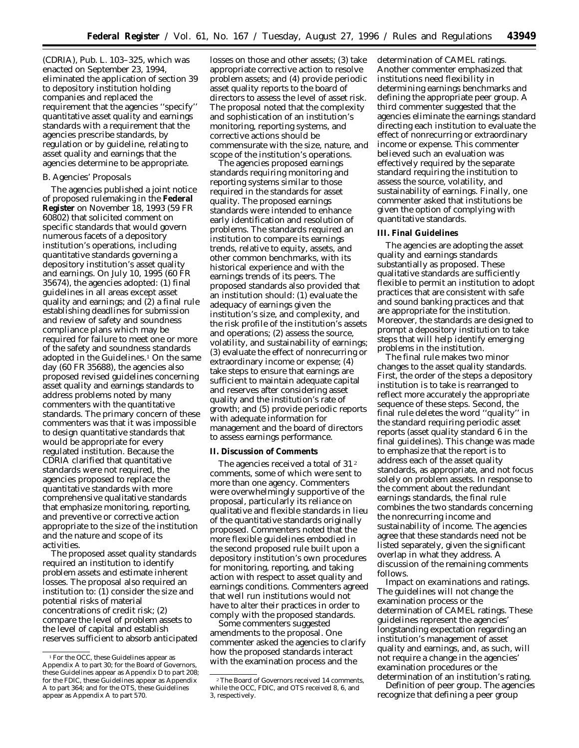(CDRIA), Pub. L. 103–325, which was enacted on September 23, 1994, eliminated the application of section 39 to depository institution holding companies and replaced the requirement that the agencies ''specify'' quantitative asset quality and earnings standards with a requirement that the agencies prescribe standards, by regulation *or* by guideline, relating to asset quality and earnings that the agencies determine to be appropriate.

## *B. Agencies' Proposals*

The agencies published a joint notice of proposed rulemaking in the **Federal Register** on November 18, 1993 (59 FR 60802) that solicited comment on specific standards that would govern numerous facets of a depository institution's operations, including quantitative standards governing a depository institution's asset quality and earnings. On July 10, 1995 (60 FR 35674), the agencies adopted: (1) final guidelines in all areas except asset quality and earnings; and (2) a final rule establishing deadlines for submission and review of safety and soundness compliance plans which may be required for failure to meet one or more of the safety and soundness standards adopted in the Guidelines.<sup>1</sup> On the same day (60 FR 35688), the agencies also proposed revised guidelines concerning asset quality and earnings standards to address problems noted by many commenters with the quantitative standards. The primary concern of these commenters was that it was impossible to design quantitative standards that would be appropriate for every regulated institution. Because the CDRIA clarified that quantitative standards were not required, the agencies proposed to replace the quantitative standards with more comprehensive qualitative standards that emphasize monitoring, reporting, and preventive or corrective action appropriate to the size of the institution and the nature and scope of its activities.

The proposed asset quality standards required an institution to identify problem assets and estimate inherent losses. The proposal also required an institution to: (1) consider the size and potential risks of material concentrations of credit risk; (2) compare the level of problem assets to the level of capital and establish reserves sufficient to absorb anticipated

losses on those and other assets; (3) take appropriate corrective action to resolve problem assets; and (4) provide periodic asset quality reports to the board of directors to assess the level of asset risk. The proposal noted that the complexity and sophistication of an institution's monitoring, reporting systems, and corrective actions should be commensurate with the size, nature, and scope of the institution's operations.

The agencies proposed earnings standards requiring monitoring and reporting systems similar to those required in the standards for asset quality. The proposed earnings standards were intended to enhance early identification and resolution of problems. The standards required an institution to compare its earnings trends, relative to equity, assets, and other common benchmarks, with its historical experience and with the earnings trends of its peers. The proposed standards also provided that an institution should: (1) evaluate the adequacy of earnings given the institution's size, and complexity, and the risk profile of the institution's assets and operations; (2) assess the source, volatility, and sustainability of earnings; (3) evaluate the effect of nonrecurring or extraordinary income or expense; (4) take steps to ensure that earnings are sufficient to maintain adequate capital and reserves after considering asset quality and the institution's rate of growth; and (5) provide periodic reports with adequate information for management and the board of directors to assess earnings performance.

### **II. Discussion of Comments**

The agencies received a total of 31<sup>2</sup> comments, some of which were sent to more than one agency. Commenters were overwhelmingly supportive of the proposal, particularly its reliance on qualitative and flexible standards in lieu of the quantitative standards originally proposed. Commenters noted that the more flexible guidelines embodied in the second proposed rule built upon a depository institution's own procedures for monitoring, reporting, and taking action with respect to asset quality and earnings conditions. Commenters agreed that well run institutions would not have to alter their practices in order to comply with the proposed standards.

Some commenters suggested amendments to the proposal. One commenter asked the agencies to clarify how the proposed standards interact with the examination process and the

determination of CAMEL ratings. Another commenter emphasized that institutions need flexibility in determining earnings benchmarks and defining the appropriate peer group. A third commenter suggested that the agencies eliminate the earnings standard directing each institution to evaluate the effect of nonrecurring or extraordinary income or expense. This commenter believed such an evaluation was effectively required by the separate standard requiring the institution to assess the source, volatility, and sustainability of earnings. Finally, one commenter asked that institutions be given the option of complying with quantitative standards.

### **III. Final Guidelines**

The agencies are adopting the asset quality and earnings standards substantially as proposed. These qualitative standards are sufficiently flexible to permit an institution to adopt practices that are consistent with safe and sound banking practices and that are appropriate for the institution. Moreover, the standards are designed to prompt a depository institution to take steps that will help identify emerging problems in the institution.

The final rule makes two minor changes to the asset quality standards. First, the order of the steps a depository institution is to take is rearranged to reflect more accurately the appropriate sequence of these steps. Second, the final rule deletes the word ''quality'' in the standard requiring periodic asset reports (asset quality standard 6 in the final guidelines). This change was made to emphasize that the report is to address each of the asset quality standards, as appropriate, and not focus solely on problem assets. In response to the comment about the redundant earnings standards, the final rule combines the two standards concerning the nonrecurring income and sustainability of income. The agencies agree that these standards need not be listed separately, given the significant overlap in what they address. A discussion of the remaining comments follows.

*Impact on examinations and ratings.* The guidelines will not change the examination process or the determination of CAMEL ratings. These guidelines represent the agencies' longstanding expectation regarding an institution's management of asset quality and earnings, and, as such, will not require a change in the agencies' examination procedures or the determination of an institution's rating.

*Definition of peer group.* The agencies recognize that defining a peer group

<sup>1</sup>For the OCC, these Guidelines appear as Appendix A to part 30; for the Board of Governors, these Guidelines appear as Appendix D to part 208; for the FDIC, these Guidelines appear as Appendix A to part 364; and for the OTS, these Guidelines appear as Appendix A to part 570.

<sup>2</sup>The Board of Governors received 14 comments, while the OCC, FDIC, and OTS received 8, 6, and 3, respectively.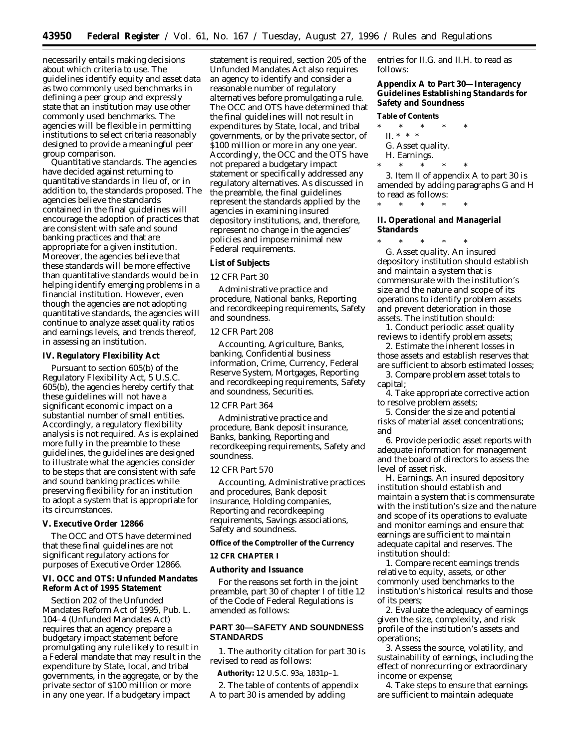necessarily entails making decisions about which criteria to use. The guidelines identify equity and asset data as two commonly used benchmarks in defining a peer group and expressly state that an institution may use other commonly used benchmarks. The agencies will be flexible in permitting institutions to select criteria reasonably designed to provide a meaningful peer group comparison.

*Quantitative standards.* The agencies have decided against returning to quantitative standards in lieu of, or in addition to, the standards proposed. The agencies believe the standards contained in the final guidelines will encourage the adoption of practices that are consistent with safe and sound banking practices and that are appropriate for a given institution. Moreover, the agencies believe that these standards will be more effective than quantitative standards would be in helping identify emerging problems in a financial institution. However, even though the agencies are not adopting quantitative standards, the agencies will continue to analyze asset quality ratios and earnings levels, and trends thereof, in assessing an institution.

## **IV. Regulatory Flexibility Act**

Pursuant to section 605(b) of the Regulatory Flexibility Act, 5 U.S.C. 605(b), the agencies hereby certify that these guidelines will not have a significant economic impact on a substantial number of small entities. Accordingly, a regulatory flexibility analysis is not required. As is explained more fully in the preamble to these guidelines, the guidelines are designed to illustrate what the agencies consider to be steps that are consistent with safe and sound banking practices while preserving flexibility for an institution to adopt a system that is appropriate for its circumstances.

# **V. Executive Order 12866**

The OCC and OTS have determined that these final guidelines are not significant regulatory actions for purposes of Executive Order 12866.

## **VI. OCC and OTS: Unfunded Mandates Reform Act of 1995 Statement**

Section 202 of the Unfunded Mandates Reform Act of 1995, Pub. L. 104–4 (Unfunded Mandates Act) requires that an agency prepare a budgetary impact statement before promulgating any rule likely to result in a Federal mandate that may result in the expenditure by State, local, and tribal governments, in the aggregate, or by the private sector of \$100 million or more in any one year. If a budgetary impact

statement is required, section 205 of the Unfunded Mandates Act also requires an agency to identify and consider a reasonable number of regulatory alternatives before promulgating a rule. The OCC and OTS have determined that the final guidelines will not result in expenditures by State, local, and tribal governments, or by the private sector, of \$100 million or more in any one year. Accordingly, the OCC and the OTS have not prepared a budgetary impact statement or specifically addressed any regulatory alternatives. As discussed in the preamble, the final guidelines represent the standards applied by the agencies in examining insured depository institutions, and, therefore, represent no change in the agencies' policies and impose minimal new Federal requirements.

# **List of Subjects**

## *12 CFR Part 30*

Administrative practice and procedure, National banks, Reporting and recordkeeping requirements, Safety and soundness.

# *12 CFR Part 208*

Accounting, Agriculture, Banks, banking, Confidential business information, Crime, Currency, Federal Reserve System, Mortgages, Reporting and recordkeeping requirements, Safety and soundness, Securities.

## *12 CFR Part 364*

Administrative practice and procedure, Bank deposit insurance, Banks, banking, Reporting and recordkeeping requirements, Safety and soundness.

#### *12 CFR Part 570*

Accounting, Administrative practices and procedures, Bank deposit insurance, Holding companies, Reporting and recordkeeping requirements, Savings associations, Safety and soundness.

**Office of the Comptroller of the Currency**

### **12 CFR CHAPTER I**

### **Authority and Issuance**

For the reasons set forth in the joint preamble, part 30 of chapter I of title 12 of the Code of Federal Regulations is amended as follows:

# **PART 30—SAFETY AND SOUNDNESS STANDARDS**

1. The authority citation for part 30 is revised to read as follows:

**Authority:** 12 U.S.C. 93a, 1831p–1.

2. The table of contents of appendix A to part 30 is amended by adding

entries for II.G. and II.H. to read as follows:

**Appendix A to Part 30—Interagency Guidelines Establishing Standards for Safety and Soundness**

#### **Table of Contents**

- \* \* \* \* \*
	- II. \* \* \*
	- G. Asset quality. H. Earnings.
		- $*$  \*

3. Item II of appendix A to part 30 is amended by adding paragraphs G and H to read as follows:

\* \* \* \* \*

**II. Operational and Managerial Standards**

\* \* \* \* \* G. *Asset quality.* An insured depository institution should establish and maintain a system that is commensurate with the institution's size and the nature and scope of its operations to identify problem assets and prevent deterioration in those assets. The institution should:

1. Conduct periodic asset quality reviews to identify problem assets;

2. Estimate the inherent losses in those assets and establish reserves that are sufficient to absorb estimated losses;

3. Compare problem asset totals to capital;

4. Take appropriate corrective action to resolve problem assets;

5. Consider the size and potential risks of material asset concentrations; and

6. Provide periodic asset reports with adequate information for management and the board of directors to assess the level of asset risk.

H. *Earnings.* An insured depository institution should establish and maintain a system that is commensurate with the institution's size and the nature and scope of its operations to evaluate and monitor earnings and ensure that earnings are sufficient to maintain adequate capital and reserves. The institution should:

1. Compare recent earnings trends relative to equity, assets, or other commonly used benchmarks to the institution's historical results and those of its peers;

2. Evaluate the adequacy of earnings given the size, complexity, and risk profile of the institution's assets and operations;

3. Assess the source, volatility, and sustainability of earnings, including the effect of nonrecurring or extraordinary income or expense;

4. Take steps to ensure that earnings are sufficient to maintain adequate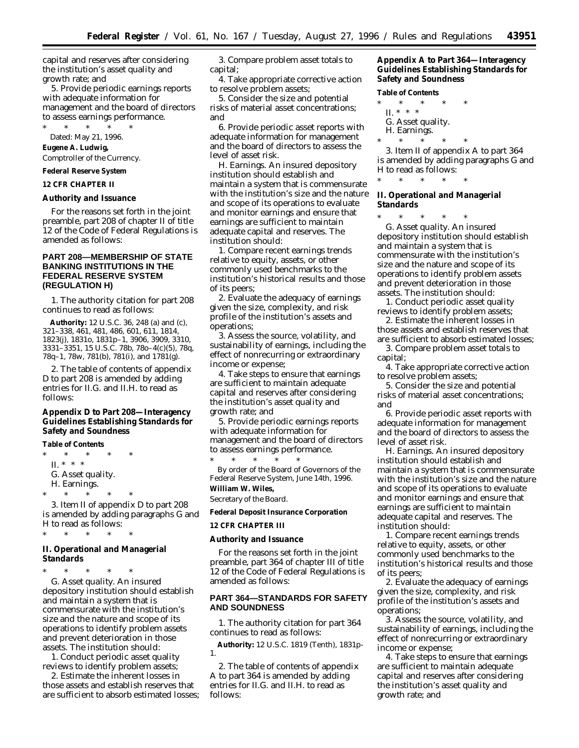capital and reserves after considering the institution's asset quality and growth rate; and

5. Provide periodic earnings reports with adequate information for management and the board of directors to assess earnings performance.

\* \* \* \* \* Dated: May 21, 1996.

**Eugene A. Ludwig,**

*Comptroller of the Currency.*

**Federal Reserve System**

**12 CFR CHAPTER II**

### **Authority and Issuance**

For the reasons set forth in the joint preamble, part 208 of chapter II of title 12 of the Code of Federal Regulations is amended as follows:

# **PART 208—MEMBERSHIP OF STATE BANKING INSTITUTIONS IN THE FEDERAL RESERVE SYSTEM (REGULATION H)**

1. The authority citation for part 208 continues to read as follows:

**Authority:** 12 U.S.C. 36, 248 (a) and (c), 321–338, 461, 481, 486, 601, 611, 1814, 1823(j), 1831o, 1831p–1, 3906, 3909, 3310, 3331–3351, 15 U.S.C. 78b, 78o–4(c)(5), 78q, 78q–1, 78w, 781(b), 781(i), and 1781(g).

2. The table of contents of appendix D to part 208 is amended by adding entries for II.G. and II.H. to read as follows:

**Appendix D to Part 208—Interagency Guidelines Establishing Standards for Safety and Soundness**

**Table of Contents**

 $*$  \* \* II. \* \* \*

G. Asset quality.

H. Earnings.

\* \* \* \* \*

3. Item II of appendix D to part 208 is amended by adding paragraphs G and H to read as follows:

\* \* \* \* \*

## **II. Operational and Managerial Standards**

\* \* \* \* \* G. *Asset quality.* An insured depository institution should establish and maintain a system that is commensurate with the institution's size and the nature and scope of its operations to identify problem assets and prevent deterioration in those assets. The institution should:

1. Conduct periodic asset quality reviews to identify problem assets;

2. Estimate the inherent losses in those assets and establish reserves that are sufficient to absorb estimated losses;

3. Compare problem asset totals to capital;

4. Take appropriate corrective action to resolve problem assets;

5. Consider the size and potential risks of material asset concentrations; and

6. Provide periodic asset reports with adequate information for management and the board of directors to assess the level of asset risk.

H. *Earnings.* An insured depository institution should establish and maintain a system that is commensurate with the institution's size and the nature and scope of its operations to evaluate and monitor earnings and ensure that earnings are sufficient to maintain adequate capital and reserves. The institution should:

1. Compare recent earnings trends relative to equity, assets, or other commonly used benchmarks to the institution's historical results and those of its peers;

2. Evaluate the adequacy of earnings given the size, complexity, and risk profile of the institution's assets and operations;

3. Assess the source, volatility, and sustainability of earnings, including the effect of nonrecurring or extraordinary income or expense;

4. Take steps to ensure that earnings are sufficient to maintain adequate capital and reserves after considering the institution's asset quality and growth rate; and

5. Provide periodic earnings reports with adequate information for management and the board of directors to assess earnings performance.

\* \* \* \* \* By order of the Board of Governors of the Federal Reserve System, June 14th, 1996. **William W. Wiles,**

## *Secretary of the Board.*

**Federal Deposit Insurance Corporation**

## **12 CFR CHAPTER III**

### **Authority and Issuance**

For the reasons set forth in the joint preamble, part 364 of chapter III of title 12 of the Code of Federal Regulations is amended as follows:

## **PART 364—STANDARDS FOR SAFETY AND SOUNDNESS**

1. The authority citation for part 364 continues to read as follows:

**Authority:** 12 U.S.C. 1819 (Tenth), 1831p-1.

2. The table of contents of appendix A to part 364 is amended by adding entries for II.G. and II.H. to read as follows:

**Appendix A to Part 364—Interagency Guidelines Establishing Standards for Safety and Soundness**

**Table of Contents**  $*$  \* II. \* \* \*

- G. Asset quality.
- H. Earnings.
- 

\* \* \* \* \* 3. Item II of appendix A to part 364 is amended by adding paragraphs G and H to read as follows:

**II. Operational and Managerial Standards**

\* \* \* \* \*

\* \* \* \* \* G. *Asset quality.* An insured depository institution should establish and maintain a system that is commensurate with the institution's size and the nature and scope of its operations to identify problem assets and prevent deterioration in those assets. The institution should:

1. Conduct periodic asset quality reviews to identify problem assets;

2. Estimate the inherent losses in those assets and establish reserves that are sufficient to absorb estimated losses;

3. Compare problem asset totals to capital;

4. Take appropriate corrective action to resolve problem assets;

5. Consider the size and potential risks of material asset concentrations; and

6. Provide periodic asset reports with adequate information for management and the board of directors to assess the level of asset risk.

H. *Earnings.* An insured depository institution should establish and maintain a system that is commensurate with the institution's size and the nature and scope of its operations to evaluate and monitor earnings and ensure that earnings are sufficient to maintain adequate capital and reserves. The institution should:

1. Compare recent earnings trends relative to equity, assets, or other commonly used benchmarks to the institution's historical results and those of its peers;

2. Evaluate the adequacy of earnings given the size, complexity, and risk profile of the institution's assets and operations;

3. Assess the source, volatility, and sustainability of earnings, including the effect of nonrecurring or extraordinary income or expense;

4. Take steps to ensure that earnings are sufficient to maintain adequate capital and reserves after considering the institution's asset quality and growth rate; and